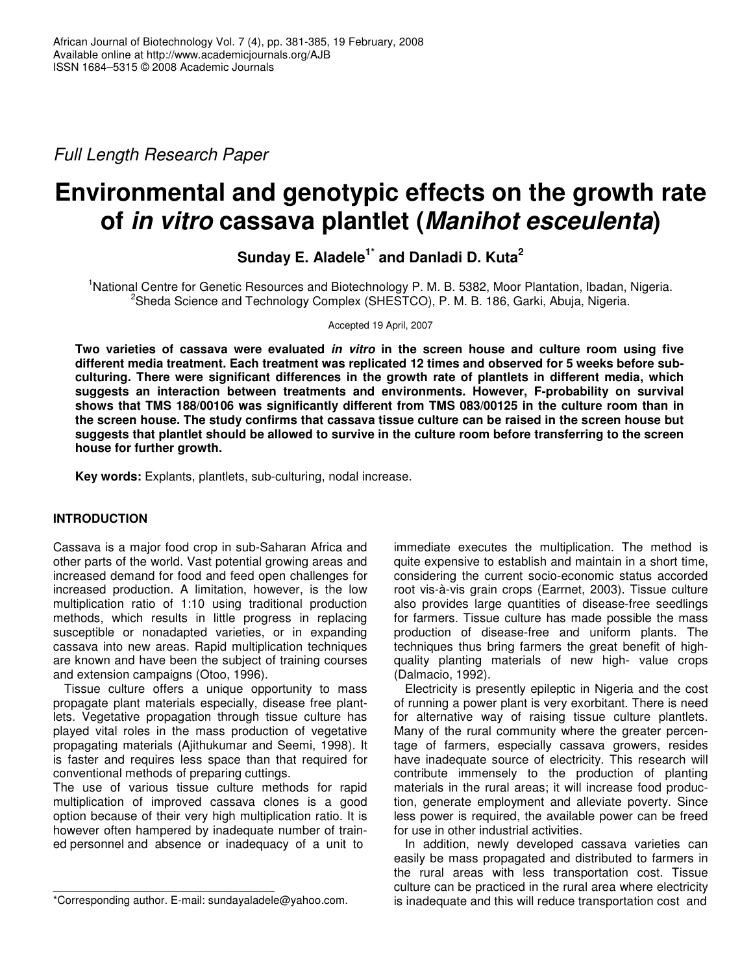*Full Length Research Paper*

# **Environmental and genotypic effects on the growth rate of** *in vitro* **cassava plantlet (***Manihot esceulenta***)**

**Sunday E. Aladele 1\* and Danladi D. Kuta 2**

<sup>1</sup>National Centre for Genetic Resources and Biotechnology P. M. B. 5382, Moor Plantation, Ibadan, Nigeria.  $^{2}$ Sheda Science and Technology Complex (SHESTCO), P. M. B. 186, Garki, Abuja, Nigeria.

Accepted 19 April, 2007

**Two varieties of cassava were evaluated** *in vitro* **in the screen house and culture room using five different media treatment. Each treatment was replicated 12 times and observed for 5 weeks before subculturing. There were significant differences in the growth rate of plantlets in different media, which suggests an interaction between treatments and environments. However, F-probability on survival shows that TMS 188/00106 was significantly different from TMS 083/00125 in the culture room than in** the screen house. The study confirms that cassava tissue culture can be raised in the screen house but **suggests that plantlet should be allowed to survive in the culture room before transferring to the screen house for further growth.**

**Key words:** Explants, plantlets, sub-culturing, nodal increase.

## **INTRODUCTION**

Cassava is a major food crop in sub-Saharan Africa and other parts of the world. Vast potential growing areas and increased demand for food and feed open challenges for increased production. A limitation, however, is the low multiplication ratio of 1:10 using traditional production methods, which results in little progress in replacing susceptible or nonadapted varieties, or in expanding cassava into new areas. Rapid multiplication techniques are known and have been the subject of training courses and extension campaigns (Otoo, 1996).

Tissue culture offers a unique opportunity to mass propagate plant materials especially, disease free plantlets. Vegetative propagation through tissue culture has played vital roles in the mass production of vegetative propagating materials (Ajithukumar and Seemi, 1998). It is faster and requires less space than that required for conventional methods of preparing cuttings.

The use of various tissue culture methods for rapid multiplication of improved cassava clones is a good option because of their very high multiplication ratio. It is however often hampered by inadequate number of trained personnel and absence or inadequacy of a unit to

immediate executes the multiplication. The method is quite expensive to establish and maintain in a short time, considering the current socio-economic status accorded root vis-à-vis grain crops (Earrnet, 2003). Tissue culture also provides large quantities of disease-free seedlings for farmers. Tissue culture has made possible the mass production of disease-free and uniform plants. The techniques thus bring farmers the great benefit of highquality planting materials of new high- value crops (Dalmacio, 1992).

Electricity is presently epileptic in Nigeria and the cost of running a power plant is very exorbitant. There is need for alternative way of raising tissue culture plantlets. Many of the rural community where the greater percentage of farmers, especially cassava growers, resides have inadequate source of electricity. This research will contribute immensely to the production of planting materials in the rural areas; it will increase food production, generate employment and alleviate poverty. Since less power is required, the available power can be freed for use in other industrial activities.

In addition, newly developed cassava varieties can easily be mass propagated and distributed to farmers in the rural areas with less transportation cost. Tissue culture can be practiced in the rural area where electricity is inadequate and this will reduce transportation cost and

<sup>\*</sup>Corresponding author. E-mail: sundayaladele@yahoo.com.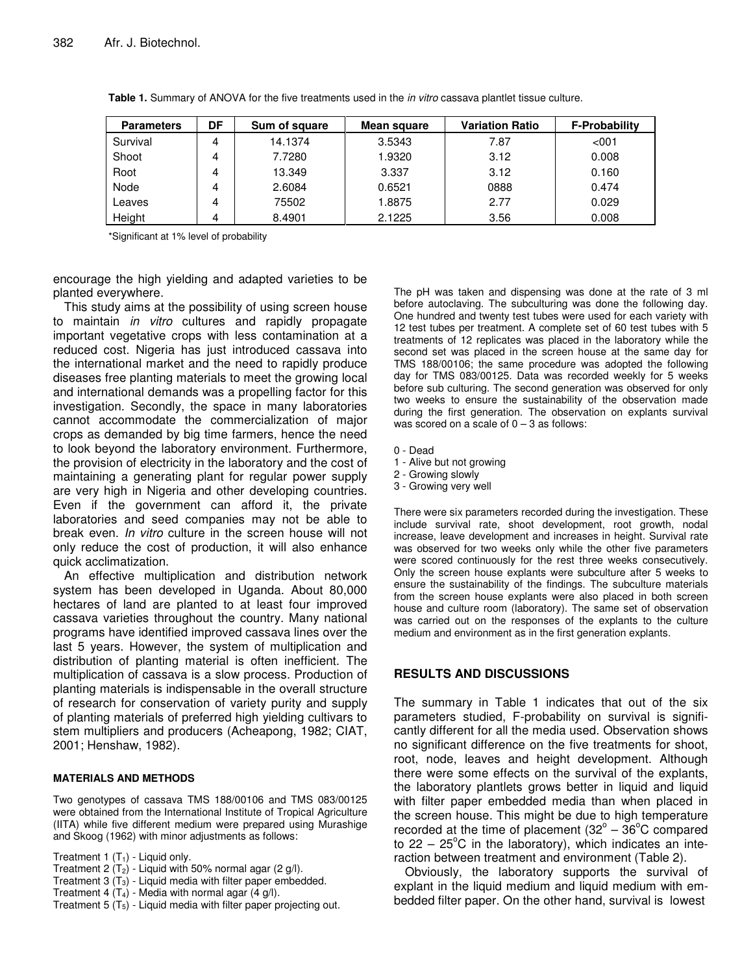| <b>Parameters</b> | DF | Sum of square | Mean square | <b>Variation Ratio</b> | <b>F-Probability</b> |
|-------------------|----|---------------|-------------|------------------------|----------------------|
| Survival          | 4  | 14.1374       | 3.5343      | 7.87                   | < 001                |
| Shoot             | 4  | 7.7280        | 1.9320      | 3.12                   | 0.008                |
| Root              | 4  | 13.349        | 3.337       | 3.12                   | 0.160                |
| Node              | 4  | 2.6084        | 0.6521      | 0888                   | 0.474                |
| Leaves            | 4  | 75502         | 1.8875      | 2.77                   | 0.029                |
| Height            | 4  | 8.4901        | 2.1225      | 3.56                   | 0.008                |

**Table 1.** Summary of ANOVA for the five treatments used in the *in vitro* cassava plantlet tissue culture.

\*Significant at 1% level of probability

encourage the high yielding and adapted varieties to be planted everywhere.

This study aims at the possibility of using screen house to maintain *in vitro* cultures and rapidly propagate important vegetative crops with less contamination at a reduced cost. Nigeria has just introduced cassava into the international market and the need to rapidly produce diseases free planting materials to meet the growing local and international demands was a propelling factor for this investigation. Secondly, the space in many laboratories cannot accommodate the commercialization of major crops as demanded by big time farmers, hence the need to look beyond the laboratory environment. Furthermore, the provision of electricity in the laboratory and the cost of maintaining a generating plant for regular power supply are very high in Nigeria and other developing countries. Even if the government can afford it, the private laboratories and seed companies may not be able to break even. *In vitro* culture in the screen house will not only reduce the cost of production, it will also enhance quick acclimatization.

An effective multiplication and distribution network system has been developed in Uganda. About 80,000 hectares of land are planted to at least four improved cassava varieties throughout the country. Many national programs have identified improved cassava lines over the last 5 years. However, the system of multiplication and distribution of planting material is often inefficient. The multiplication of cassava is a slow process. Production of planting materials is indispensable in the overall structure of research for conservation of variety purity and supply of planting materials of preferred high yielding cultivars to stem multipliers and producers (Acheapong, 1982; CIAT, 2001; Henshaw, 1982).

#### **MATERIALS AND METHODS**

Two genotypes of cassava TMS 188/00106 and TMS 083/00125 were obtained from the International Institute of Tropical Agriculture (IITA) while five different medium were prepared using Murashige and Skoog (1962) with minor adjustments as follows:

Treatment 1  $(T_1)$  - Liquid only.

Treatment 2  $(T_2)$  - Liquid with 50% normal agar (2 g/l).

Treatment  $3(T_3)$  - Liquid media with filter paper embedded.

- Treatment 4  $(T_4)$  Media with normal agar  $(4 \text{ g/l})$ .
- Treatment  $5(T_5)$  Liquid media with filter paper projecting out.

The pH was taken and dispensing was done at the rate of 3 ml before autoclaving. The subculturing was done the following day. One hundred and twenty test tubes were used for each variety with 12 test tubes per treatment. A complete set of 60 test tubes with 5 treatments of 12 replicates was placed in the laboratory while the second set was placed in the screen house at the same day for TMS 188/00106; the same procedure was adopted the following day for TMS 083/00125. Data was recorded weekly for 5 weeks before sub culturing. The second generation was observed for only two weeks to ensure the sustainability of the observation made during the first generation. The observation on explants survival was scored on a scale of  $0 - 3$  as follows:

- 0 Dead
- 1 Alive but not growing
- 2 Growing slowly
- 3 Growing very well

There were six parameters recorded during the investigation. These include survival rate, shoot development, root growth, nodal increase, leave development and increases in height. Survival rate was observed for two weeks only while the other five parameters were scored continuously for the rest three weeks consecutively. Only the screen house explants were subculture after 5 weeks to ensure the sustainability of the findings. The subculture materials from the screen house explants were also placed in both screen house and culture room (laboratory). The same set of observation was carried out on the responses of the explants to the culture medium and environment as in the first generation explants.

## **RESULTS AND DISCUSSIONS**

The summary in Table 1 indicates that out of the six parameters studied, F-probability on survival is significantly different for all the media used. Observation shows no significant difference on the five treatments for shoot, root, node, leaves and height development. Although there were some effects on the survival of the explants, the laboratory plantlets grows better in liquid and liquid with filter paper embedded media than when placed in the screen house. This might be due to high temperature recorded at the time of placement (32 $^{\circ}$  – 36 $^{\circ}$ C compared to  $22 - 25^{\circ}$ C in the laboratory), which indicates an interaction between treatment and environment (Table 2).

Obviously, the laboratory supports the survival of explant in the liquid medium and liquid medium with embedded filter paper. On the other hand, survival is lowest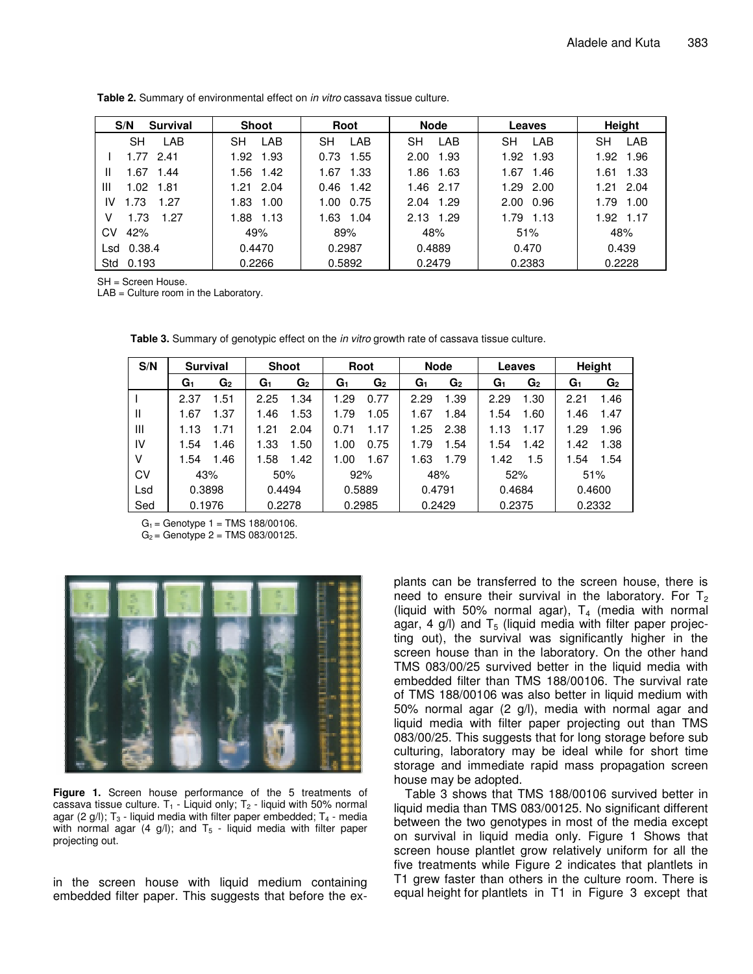| S/N<br>Survival   | <b>Shoot</b> | Root         | <b>Node</b>  | Leaves       | Height       |
|-------------------|--------------|--------------|--------------|--------------|--------------|
| LAB<br><b>SH</b>  | LAB<br>SН    | LAB<br>SН    | LAB<br>SН    | LAB<br>SН    | SΗ<br>LAB    |
| 1.77<br>-2.41     | 1.93<br>1.92 | 0.73<br>1.55 | 1.93<br>2.00 | 1.92<br>1.93 | 1.92<br>1.96 |
| .67<br>1.44<br>Ш  | 1.56<br>1.42 | 1.33<br>1.67 | 1.86<br>1.63 | 1.67<br>1.46 | 1.33<br>1.61 |
| Ш<br>1.02<br>1.81 | 2.04<br>1.21 | 0.46<br>1.42 | 1.46 2.17    | 2.00<br>1.29 | 2.04<br>1.21 |
| IV<br>.73<br>1.27 | 1.83<br>1.00 | 0.75<br>1.00 | 1.29<br>2.04 | 2.00<br>0.96 | 1.79<br>1.00 |
| 1.73<br>1.27<br>v | 1.88<br>1.13 | 1.63 1.04    | 2.13 1.29    | 1.79 1.13    | 1.92 1.17    |
| 42%<br>СV         | 49%          | 89%          | 48%          | 51%          | 48%          |
| 0.38.4<br>Lsd     | 0.4470       | 0.2987       | 0.4889       | 0.470        | 0.439        |
| Std 0.193         | 0.2266       | 0.5892       | 0.2479       | 0.2383       | 0.2228       |

**Table 2.** Summary of environmental effect on *in vitro* cassava tissue culture.

SH = Screen House.

LAB = Culture room in the Laboratory.

| S/N | <b>Survival</b> | <b>Shoot</b> | Root   | <b>Node</b>    | Leaves         | Height         |
|-----|-----------------|--------------|--------|----------------|----------------|----------------|
|     | G1              | G2           | G2     | G2             | G <sub>2</sub> | G <sub>1</sub> |
|     | G2              | G1           | G1     | G <sub>1</sub> | G <sub>1</sub> | G <sub>2</sub> |
|     | 1.51            | .34          | 0.77   | 1.39           | 1.30           | 1.46           |
|     | 2.37            | 2.25         | .29    | 2.29           | 2.29           | 2.21           |
| Ш   | 1.37            | 1.53         | .79    | 1.84           | 1.60           | 1.47           |
|     | 1.67            | 1.46         | 1.05   | 1.67           | 1.54           | 1.46           |
| Ш   | 1.71            | 2.04         | 0.71   | 1.25           | 1.17           | 1.29           |
|     | 1.13            | 1.21         | 1.17   | 2.38           | 1.13           | 1.96           |
| IV  | 1.54            | 1.50         | 0.75   | 1.54           | 1.42           | 1.38           |
|     | 1.46            | 1.33         | 1.00   | 1.79           | 1.54           | 1.42           |
| v   | 1.46            | 1.42         | 1.67   | 1.79           | 1.5            | 1.54           |
|     | 1.54            | 1.58         | 1.00   | 1.63           | 1.42           | 1.54           |
| CV  | 43%             | 50%          | 92%    | 48%            | 52%            | 51%            |
| Lsd | 0.3898          | 0.4494       | 0.5889 | 0.4791         | 0.4684         | 0.4600         |
| Sed | 0.1976          | 0.2278       | 0.2985 | 0.2429         | 0.2375         | 0.2332         |

**Table 3.** Summary of genotypic effect on the *in vitro* growth rate of cassava tissue culture.

 $G_1$  = Genotype 1 = TMS 188/00106.

 $G_2$  = Genotype 2 = TMS 083/00125.



**Figure 1.** Screen house performance of the 5 treatments of cassava tissue culture.  $T_1$  - Liquid only;  $T_2$  - liquid with 50% normal agar (2 g/l);  $T_3$  - liquid media with filter paper embedded;  $T_4$  - media with normal agar (4 g/l); and  $T_5$  - liquid media with filter paper projecting out.

in the screen house with liquid medium containing embedded filter paper. This suggests that before the ex-

plants can be transferred to the screen house, there is need to ensure their survival in the laboratory. For  $T<sub>2</sub>$ (liquid with 50% normal agar),  $T_4$  (media with normal agar, 4 g/l) and  $T_5$  (liquid media with filter paper projecting out), the survival was significantly higher in the screen house than in the laboratory. On the other hand TMS 083/00/25 survived better in the liquid media with embedded filter than TMS 188/00106. The survival rate of TMS 188/00106 was also better in liquid medium with 50% normal agar (2 g/l), media with normal agar and liquid media with filter paper projecting out than TMS 083/00/25. This suggests that for long storage before sub culturing, laboratory may be ideal while for short time storage and immediate rapid mass propagation screen house may be adopted.

Table 3 shows that TMS 188/00106 survived better in liquid media than TMS 083/00125. No significant different between the two genotypes in most of the media except on survival in liquid media only. Figure 1 Shows that screen house plantlet grow relatively uniform for all the five treatments while Figure 2 indicates that plantlets in T1 grew faster than others in the culture room. There is equal height for plantlets in T1 in Figure 3 except that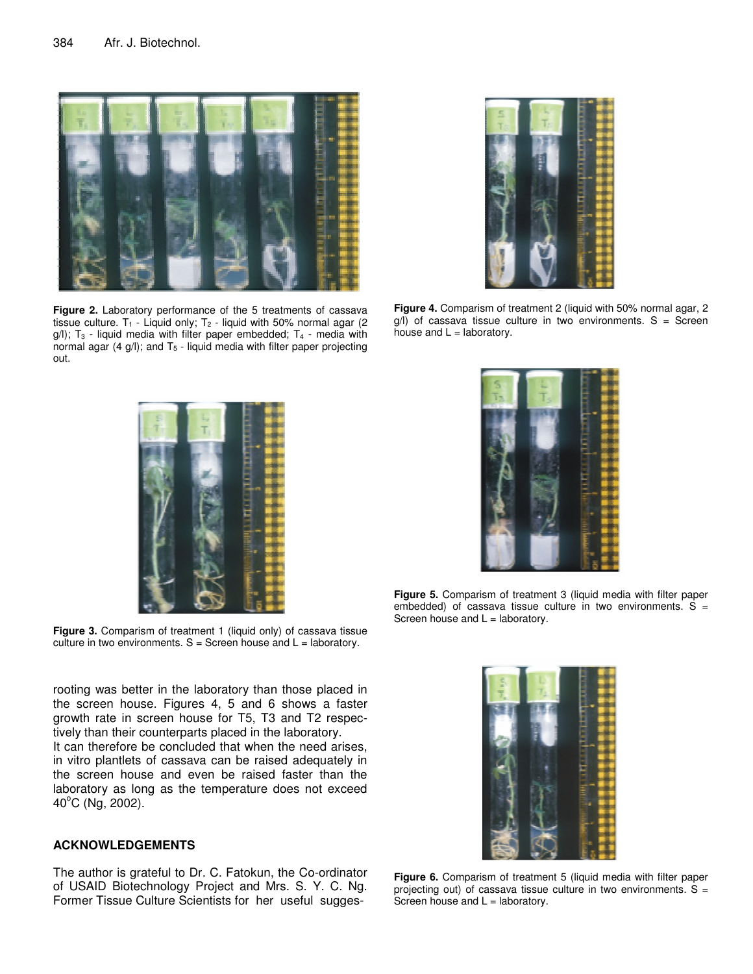

**Figure 2.** Laboratory performance of the 5 treatments of cassava tissue culture. T<sub>1</sub> - Liquid only; T<sub>2</sub> - liquid with 50% normal agar (2)  $g(1)$ ;  $T_3$  - liquid media with filter paper embedded;  $T_4$  - media with normal agar  $(4 \text{ g/l})$ ; and  $T_5$  - liquid media with filter paper projecting out.



**Figure 4.** Comparism of treatment 2 (liquid with 50% normal agar, 2  $g$ /l) of cassava tissue culture in two environments. S = Screen house and  $L =$  laboratory.



**Figure 3.** Comparism of treatment 1 (liquid only) of cassava tissue culture in two environments.  $S =$  Screen house and  $L =$  laboratory.

rooting was better in the laboratory than those placed in the screen house. Figures 4, 5 and 6 shows a faster growth rate in screen house for T5, T3 and T2 respectively than their counterparts placed in the laboratory.

It can therefore be concluded that when the need arises, in vitro plantlets of cassava can be raised adequately in the screen house and even be raised faster than the laboratory as long as the temperature does not exceed 40°C (Ng, 2002).

## **ACKNOWLEDGEMENTS**

The author is grateful to Dr. C. Fatokun, the Co-ordinator of USAID Biotechnology Project and Mrs. S. Y. C. Ng. Former Tissue Culture Scientists for her useful sugges-



**Figure 5.** Comparism of treatment 3 (liquid media with filter paper embedded) of cassava tissue culture in two environments.  $S =$ Screen house and  $L =$  laboratory.



**Figure 6.** Comparism of treatment 5 (liquid media with filter paper projecting out) of cassava tissue culture in two environments.  $S =$ Screen house and  $L =$  laboratory.